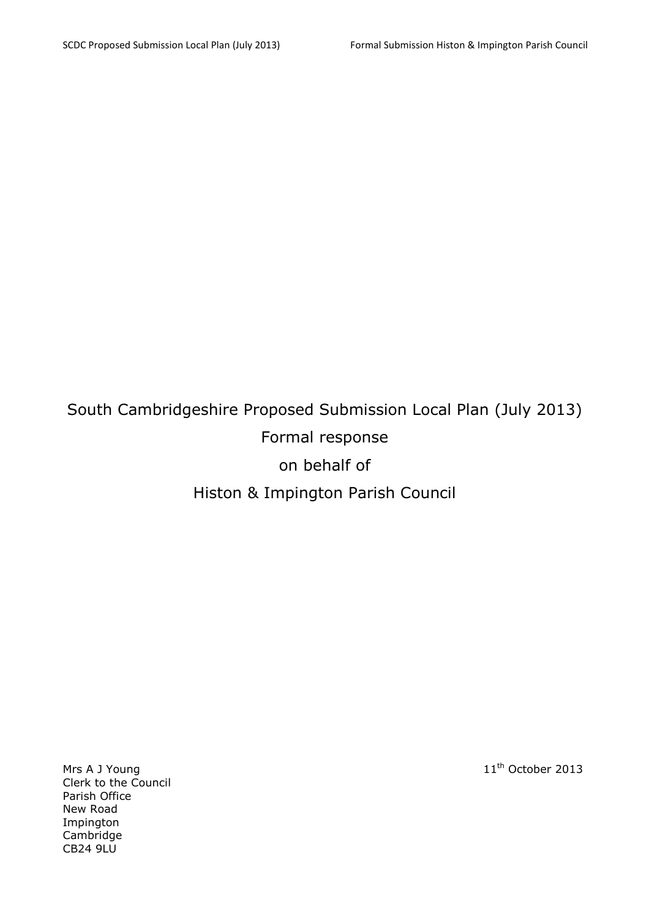# South Cambridgeshire Proposed Submission Local Plan (July 2013) Formal response on behalf of Histon & Impington Parish Council

Mrs A J Young 11<sup>th</sup> October 2013 Clerk to the Council Parish Office New Road Impington Cambridge CB24 9LU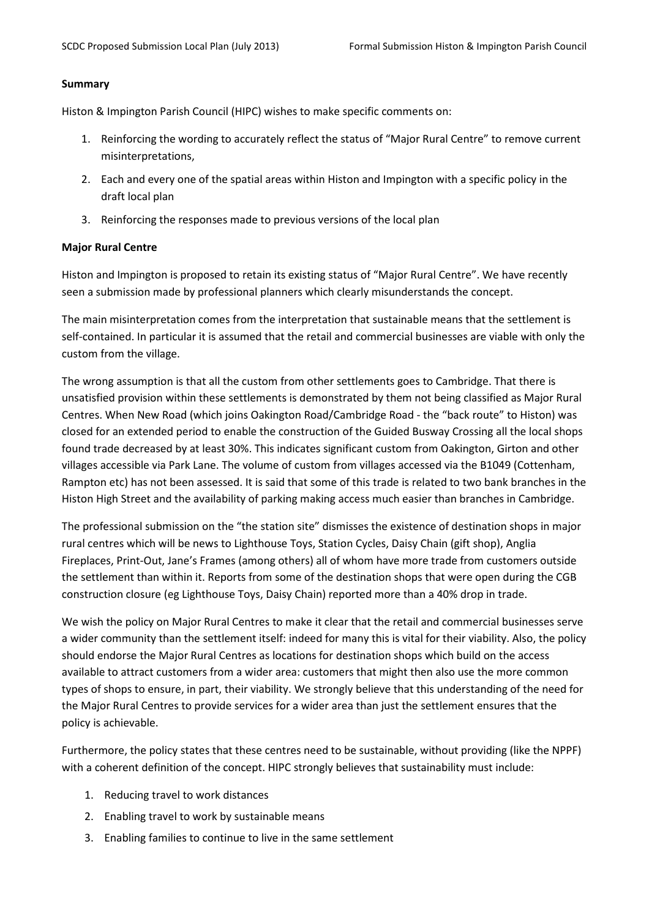#### Summary

Histon & Impington Parish Council (HIPC) wishes to make specific comments on:

- 1. Reinforcing the wording to accurately reflect the status of "Major Rural Centre" to remove current misinterpretations,
- 2. Each and every one of the spatial areas within Histon and Impington with a specific policy in the draft local plan
- 3. Reinforcing the responses made to previous versions of the local plan

#### Major Rural Centre

Histon and Impington is proposed to retain its existing status of "Major Rural Centre". We have recently seen a submission made by professional planners which clearly misunderstands the concept.

The main misinterpretation comes from the interpretation that sustainable means that the settlement is self-contained. In particular it is assumed that the retail and commercial businesses are viable with only the custom from the village.

The wrong assumption is that all the custom from other settlements goes to Cambridge. That there is unsatisfied provision within these settlements is demonstrated by them not being classified as Major Rural Centres. When New Road (which joins Oakington Road/Cambridge Road - the "back route" to Histon) was closed for an extended period to enable the construction of the Guided Busway Crossing all the local shops found trade decreased by at least 30%. This indicates significant custom from Oakington, Girton and other villages accessible via Park Lane. The volume of custom from villages accessed via the B1049 (Cottenham, Rampton etc) has not been assessed. It is said that some of this trade is related to two bank branches in the Histon High Street and the availability of parking making access much easier than branches in Cambridge.

The professional submission on the "the station site" dismisses the existence of destination shops in major rural centres which will be news to Lighthouse Toys, Station Cycles, Daisy Chain (gift shop), Anglia Fireplaces, Print-Out, Jane's Frames (among others) all of whom have more trade from customers outside the settlement than within it. Reports from some of the destination shops that were open during the CGB construction closure (eg Lighthouse Toys, Daisy Chain) reported more than a 40% drop in trade.

We wish the policy on Major Rural Centres to make it clear that the retail and commercial businesses serve a wider community than the settlement itself: indeed for many this is vital for their viability. Also, the policy should endorse the Major Rural Centres as locations for destination shops which build on the access available to attract customers from a wider area: customers that might then also use the more common types of shops to ensure, in part, their viability. We strongly believe that this understanding of the need for the Major Rural Centres to provide services for a wider area than just the settlement ensures that the policy is achievable.

Furthermore, the policy states that these centres need to be sustainable, without providing (like the NPPF) with a coherent definition of the concept. HIPC strongly believes that sustainability must include:

- 1. Reducing travel to work distances
- 2. Enabling travel to work by sustainable means
- 3. Enabling families to continue to live in the same settlement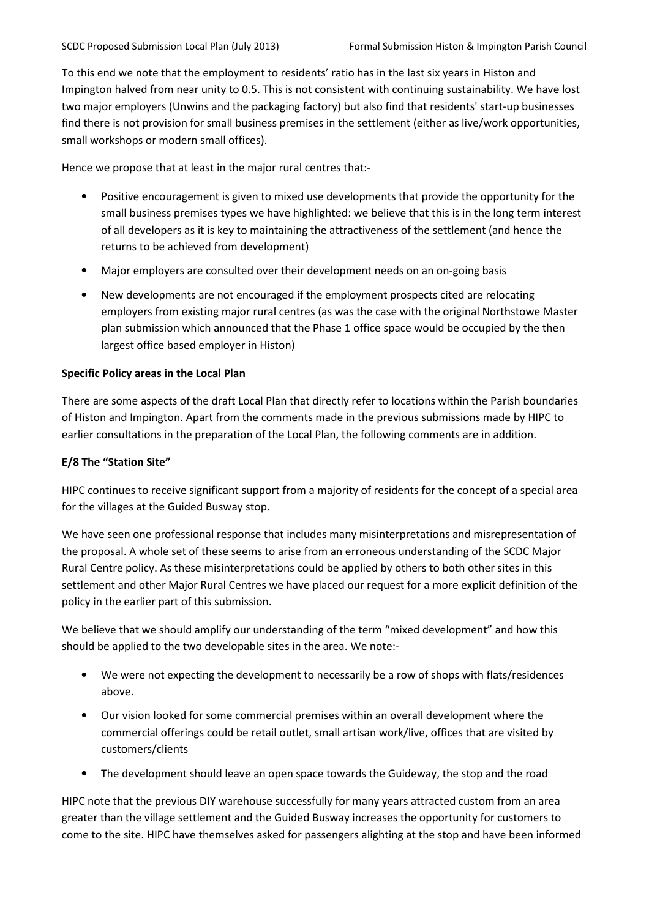To this end we note that the employment to residents' ratio has in the last six years in Histon and Impington halved from near unity to 0.5. This is not consistent with continuing sustainability. We have lost two major employers (Unwins and the packaging factory) but also find that residents' start-up businesses find there is not provision for small business premises in the settlement (either as live/work opportunities, small workshops or modern small offices).

Hence we propose that at least in the major rural centres that:-

- Positive encouragement is given to mixed use developments that provide the opportunity for the small business premises types we have highlighted: we believe that this is in the long term interest of all developers as it is key to maintaining the attractiveness of the settlement (and hence the returns to be achieved from development)
- Major employers are consulted over their development needs on an on-going basis
- New developments are not encouraged if the employment prospects cited are relocating employers from existing major rural centres (as was the case with the original Northstowe Master plan submission which announced that the Phase 1 office space would be occupied by the then largest office based employer in Histon)

### Specific Policy areas in the Local Plan

There are some aspects of the draft Local Plan that directly refer to locations within the Parish boundaries of Histon and Impington. Apart from the comments made in the previous submissions made by HIPC to earlier consultations in the preparation of the Local Plan, the following comments are in addition.

## E/8 The "Station Site"

HIPC continues to receive significant support from a majority of residents for the concept of a special area for the villages at the Guided Busway stop.

We have seen one professional response that includes many misinterpretations and misrepresentation of the proposal. A whole set of these seems to arise from an erroneous understanding of the SCDC Major Rural Centre policy. As these misinterpretations could be applied by others to both other sites in this settlement and other Major Rural Centres we have placed our request for a more explicit definition of the policy in the earlier part of this submission.

We believe that we should amplify our understanding of the term "mixed development" and how this should be applied to the two developable sites in the area. We note:-

- We were not expecting the development to necessarily be a row of shops with flats/residences above.
- Our vision looked for some commercial premises within an overall development where the commercial offerings could be retail outlet, small artisan work/live, offices that are visited by customers/clients
- The development should leave an open space towards the Guideway, the stop and the road

HIPC note that the previous DIY warehouse successfully for many years attracted custom from an area greater than the village settlement and the Guided Busway increases the opportunity for customers to come to the site. HIPC have themselves asked for passengers alighting at the stop and have been informed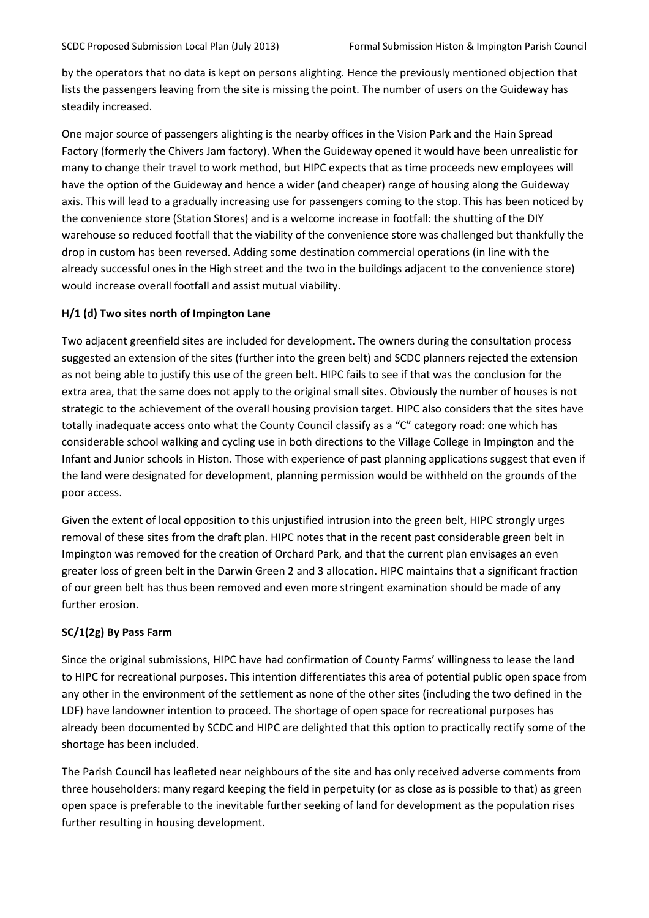by the operators that no data is kept on persons alighting. Hence the previously mentioned objection that lists the passengers leaving from the site is missing the point. The number of users on the Guideway has steadily increased.

One major source of passengers alighting is the nearby offices in the Vision Park and the Hain Spread Factory (formerly the Chivers Jam factory). When the Guideway opened it would have been unrealistic for many to change their travel to work method, but HIPC expects that as time proceeds new employees will have the option of the Guideway and hence a wider (and cheaper) range of housing along the Guideway axis. This will lead to a gradually increasing use for passengers coming to the stop. This has been noticed by the convenience store (Station Stores) and is a welcome increase in footfall: the shutting of the DIY warehouse so reduced footfall that the viability of the convenience store was challenged but thankfully the drop in custom has been reversed. Adding some destination commercial operations (in line with the already successful ones in the High street and the two in the buildings adjacent to the convenience store) would increase overall footfall and assist mutual viability.

# H/1 (d) Two sites north of Impington Lane

Two adjacent greenfield sites are included for development. The owners during the consultation process suggested an extension of the sites (further into the green belt) and SCDC planners rejected the extension as not being able to justify this use of the green belt. HIPC fails to see if that was the conclusion for the extra area, that the same does not apply to the original small sites. Obviously the number of houses is not strategic to the achievement of the overall housing provision target. HIPC also considers that the sites have totally inadequate access onto what the County Council classify as a "C" category road: one which has considerable school walking and cycling use in both directions to the Village College in Impington and the Infant and Junior schools in Histon. Those with experience of past planning applications suggest that even if the land were designated for development, planning permission would be withheld on the grounds of the poor access.

Given the extent of local opposition to this unjustified intrusion into the green belt, HIPC strongly urges removal of these sites from the draft plan. HIPC notes that in the recent past considerable green belt in Impington was removed for the creation of Orchard Park, and that the current plan envisages an even greater loss of green belt in the Darwin Green 2 and 3 allocation. HIPC maintains that a significant fraction of our green belt has thus been removed and even more stringent examination should be made of any further erosion.

# SC/1(2g) By Pass Farm

Since the original submissions, HIPC have had confirmation of County Farms' willingness to lease the land to HIPC for recreational purposes. This intention differentiates this area of potential public open space from any other in the environment of the settlement as none of the other sites (including the two defined in the LDF) have landowner intention to proceed. The shortage of open space for recreational purposes has already been documented by SCDC and HIPC are delighted that this option to practically rectify some of the shortage has been included.

The Parish Council has leafleted near neighbours of the site and has only received adverse comments from three householders: many regard keeping the field in perpetuity (or as close as is possible to that) as green open space is preferable to the inevitable further seeking of land for development as the population rises further resulting in housing development.